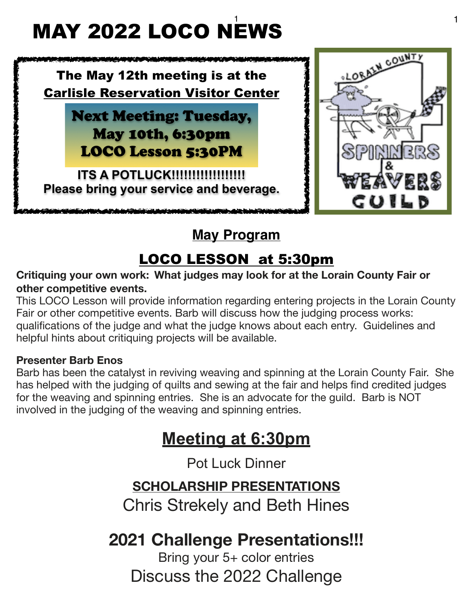### $\frac{1}{1}$  1 MAY 2022 LOCO NEWS



### **May Program**

# LOCO LESSON at 5:30pm

### **Critiquing your own work: What judges may look for at the Lorain County Fair or other competitive events.**

This LOCO Lesson will provide information regarding entering projects in the Lorain County Fair or other competitive events. Barb will discuss how the judging process works: qualifications of the judge and what the judge knows about each entry. Guidelines and helpful hints about critiquing projects will be available.

#### **Presenter Barb Enos**

Barb has been the catalyst in reviving weaving and spinning at the Lorain County Fair. She has helped with the judging of quilts and sewing at the fair and helps find credited judges for the weaving and spinning entries. She is an advocate for the guild. Barb is NOT involved in the judging of the weaving and spinning entries.

# **Meeting at 6:30pm**

Pot Luck Dinner

### **SCHOLARSHIP PRESENTATIONS**

Chris Strekely and Beth Hines

# **2021 Challenge Presentations!!!**

Bring your 5+ color entries Discuss the 2022 Challenge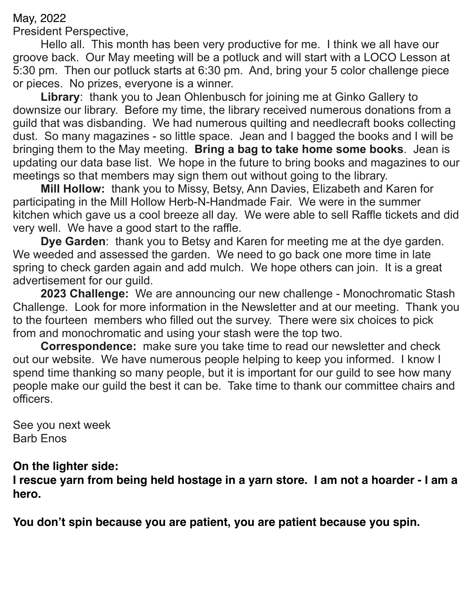May, 2022

President Perspective,

Hello all. This month has been very productive for me. I think we all have our groove back. Our May meeting will be a potluck and will start with a LOCO Lesson at 5:30 pm. Then our potluck starts at 6:30 pm. And, bring your 5 color challenge piece or pieces. No prizes, everyone is a winner.

**Library**: thank you to Jean Ohlenbusch for joining me at Ginko Gallery to downsize our library. Before my time, the library received numerous donations from a guild that was disbanding. We had numerous quilting and needlecraft books collecting dust. So many magazines - so little space. Jean and I bagged the books and I will be bringing them to the May meeting. **Bring a bag to take home some books**. Jean is updating our data base list. We hope in the future to bring books and magazines to our meetings so that members may sign them out without going to the library.

**Mill Hollow:** thank you to Missy, Betsy, Ann Davies, Elizabeth and Karen for participating in the Mill Hollow Herb-N-Handmade Fair. We were in the summer kitchen which gave us a cool breeze all day. We were able to sell Raffle tickets and did very well. We have a good start to the raffle.

**Dye Garden**: thank you to Betsy and Karen for meeting me at the dye garden. We weeded and assessed the garden. We need to go back one more time in late spring to check garden again and add mulch. We hope others can join. It is a great advertisement for our guild.

**2023 Challenge:** We are announcing our new challenge - Monochromatic Stash Challenge. Look for more information in the Newsletter and at our meeting. Thank you to the fourteen members who filled out the survey. There were six choices to pick from and monochromatic and using your stash were the top two.

**Correspondence:** make sure you take time to read our newsletter and check out our website. We have numerous people helping to keep you informed. I know I spend time thanking so many people, but it is important for our guild to see how many people make our guild the best it can be. Take time to thank our committee chairs and officers.

See you next week Barb Enos

### **On the lighter side:**

**I rescue yarn from being held hostage in a yarn store. I am not a hoarder - I am a hero.** 

**You don't spin because you are patient, you are patient because you spin.**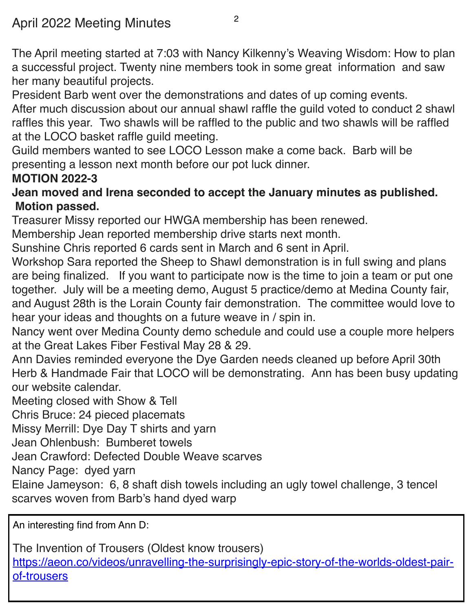The April meeting started at 7:03 with Nancy Kilkenny's Weaving Wisdom: How to plan a successful project. Twenty nine members took in some great information and saw her many beautiful projects.

President Barb went over the demonstrations and dates of up coming events.

After much discussion about our annual shawl raffle the guild voted to conduct 2 shawl raffles this year. Two shawls will be raffled to the public and two shawls will be raffled at the LOCO basket raffle guild meeting.

Guild members wanted to see LOCO Lesson make a come back. Barb will be presenting a lesson next month before our pot luck dinner.

### **MOTION 2022-3**

### **Jean moved and Irena seconded to accept the January minutes as published. Motion passed.**

Treasurer Missy reported our HWGA membership has been renewed.

Membership Jean reported membership drive starts next month.

Sunshine Chris reported 6 cards sent in March and 6 sent in April.

Workshop Sara reported the Sheep to Shawl demonstration is in full swing and plans are being finalized. If you want to participate now is the time to join a team or put one together. July will be a meeting demo, August 5 practice/demo at Medina County fair, and August 28th is the Lorain County fair demonstration. The committee would love to hear your ideas and thoughts on a future weave in / spin in.

Nancy went over Medina County demo schedule and could use a couple more helpers at the Great Lakes Fiber Festival May 28 & 29.

Ann Davies reminded everyone the Dye Garden needs cleaned up before April 30th Herb & Handmade Fair that LOCO will be demonstrating. Ann has been busy updating our website calendar.

Meeting closed with Show & Tell

Chris Bruce: 24 pieced placemats

Missy Merrill: Dye Day T shirts and yarn

Jean Ohlenbush: Bumberet towels

Jean Crawford: Defected Double Weave scarves

Nancy Page: dyed yarn

Elaine Jameyson: 6, 8 shaft dish towels including an ugly towel challenge, 3 tencel scarves woven from Barb's hand dyed warp

An interesting find from Ann D:

The Invention of Trousers (Oldest know trousers) [https://aeon.co/videos/unravelling-the-surprisingly-epic-story-of-the-worlds-oldest-pair](https://aeon.co/videos/unravelling-the-surprisingly-epic-story-of-the-worlds-oldest-pair-of-trousers)[of-trousers](https://aeon.co/videos/unravelling-the-surprisingly-epic-story-of-the-worlds-oldest-pair-of-trousers)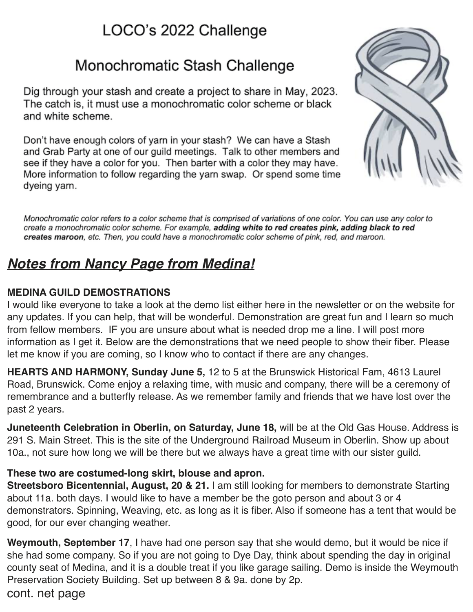## LOCO's 2022 Challenge

## Monochromatic Stash Challenge

Dig through your stash and create a project to share in May, 2023. The catch is, it must use a monochromatic color scheme or black and white scheme.

Don't have enough colors of yarn in your stash? We can have a Stash and Grab Party at one of our guild meetings. Talk to other members and see if they have a color for you. Then barter with a color they may have. More information to follow regarding the yarn swap. Or spend some time dyeing yarn.



Monochromatic color refers to a color scheme that is comprised of variations of one color. You can use any color to create a monochromatic color scheme. For example, adding white to red creates pink, adding black to red creates maroon, etc. Then, you could have a monochromatic color scheme of pink, red, and maroon.

### *Notes from Nancy Page from Medina!*

### **MEDINA GUILD DEMOSTRATIONS**

I would like everyone to take a look at the demo list either here in the newsletter or on the website for any updates. If you can help, that will be wonderful. Demonstration are great fun and I learn so much from fellow members. IF you are unsure about what is needed drop me a line. I will post more information as I get it. Below are the demonstrations that we need people to show their fiber. Please let me know if you are coming, so I know who to contact if there are any changes.

**HEARTS AND HARMONY, Sunday June 5,** 12 to 5 at the Brunswick Historical Fam, 4613 Laurel Road, Brunswick. Come enjoy a relaxing time, with music and company, there will be a ceremony of remembrance and a butterfly release. As we remember family and friends that we have lost over the past 2 years.

**Juneteenth Celebration in Oberlin, on Saturday, June 18,** will be at the Old Gas House. Address is 291 S. Main Street. This is the site of the Underground Railroad Museum in Oberlin. Show up about 10a., not sure how long we will be there but we always have a great time with our sister guild.

#### **These two are costumed-long skirt, blouse and apron.**

**Streetsboro Bicentennial, August, 20 & 21.** I am still looking for members to demonstrate Starting about 11a. both days. I would like to have a member be the goto person and about 3 or 4 demonstrators. Spinning, Weaving, etc. as long as it is fiber. Also if someone has a tent that would be good, for our ever changing weather.

**Weymouth, September 17**, I have had one person say that she would demo, but it would be nice if she had some company. So if you are not going to Dye Day, think about spending the day in original county seat of Medina, and it is a double treat if you like garage sailing. Demo is inside the Weymouth Preservation Society Building. Set up between 8 & 9a. done by 2p.

cont. net page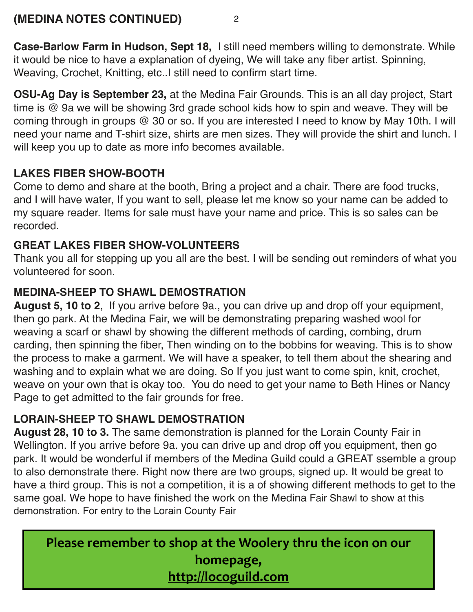**Case-Barlow Farm in Hudson, Sept 18,** I still need members willing to demonstrate. While it would be nice to have a explanation of dyeing, We will take any fiber artist. Spinning, Weaving, Crochet, Knitting, etc..I still need to confirm start time.

**OSU-Ag Day is September 23,** at the Medina Fair Grounds. This is an all day project, Start time is @ 9a we will be showing 3rd grade school kids how to spin and weave. They will be coming through in groups @ 30 or so. If you are interested I need to know by May 10th. I will need your name and T-shirt size, shirts are men sizes. They will provide the shirt and lunch. I will keep you up to date as more info becomes available.

### **LAKES FIBER SHOW-BOOTH**

Come to demo and share at the booth, Bring a project and a chair. There are food trucks, and I will have water, If you want to sell, please let me know so your name can be added to my square reader. Items for sale must have your name and price. This is so sales can be recorded.

### **GREAT LAKES FIBER SHOW-VOLUNTEERS**

Thank you all for stepping up you all are the best. I will be sending out reminders of what you volunteered for soon.

### **MEDINA-SHEEP TO SHAWL DEMOSTRATION**

**August 5, 10 to 2**, If you arrive before 9a., you can drive up and drop off your equipment, then go park. At the Medina Fair, we will be demonstrating preparing washed wool for weaving a scarf or shawl by showing the different methods of carding, combing, drum carding, then spinning the fiber, Then winding on to the bobbins for weaving. This is to show the process to make a garment. We will have a speaker, to tell them about the shearing and washing and to explain what we are doing. So If you just want to come spin, knit, crochet, weave on your own that is okay too. You do need to get your name to Beth Hines or Nancy Page to get admitted to the fair grounds for free.

### **LORAIN-SHEEP TO SHAWL DEMOSTRATION**

**August 28, 10 to 3.** The same demonstration is planned for the Lorain County Fair in Wellington. If you arrive before 9a. you can drive up and drop off you equipment, then go park. It would be wonderful if members of the Medina Guild could a GREAT ssemble a group to also demonstrate there. Right now there are two groups, signed up. It would be great to have a third group. This is not a competition, it is a of showing different methods to get to the same goal. We hope to have finished the work on the Medina Fair Shawl to show at this demonstration. For entry to the Lorain County Fair

**Please remember to shop at the Woolery thru the icon on our** homepage, **<http://locoguild.com>**